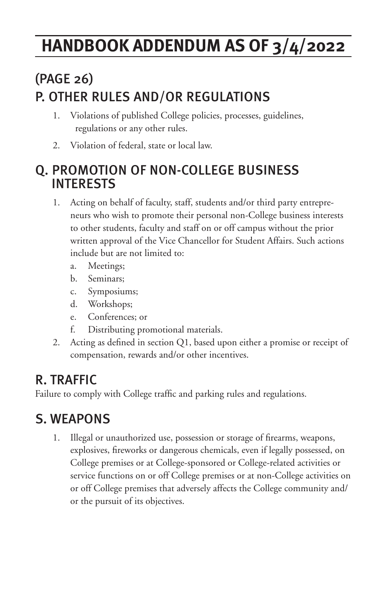# **HANDBOOK ADDENDUM AS OF 3/4/2022**

## (PAGE 26) P. OTHER RULES AND/OR REGULATIONS

- 1. Violations of published College policies, processes, guidelines, regulations or any other rules.
- 2. Violation of federal, state or local law.

#### Q. PROMOTION OF NON-COLLEGE BUSINESS INTERESTS

- 1. Acting on behalf of faculty, staff, students and/or third party entrepreneurs who wish to promote their personal non-College business interests to other students, faculty and staff on or off campus without the prior written approval of the Vice Chancellor for Student Affairs. Such actions include but are not limited to:
	- a. Meetings;
	- b. Seminars;
	- c. Symposiums;
	- d. Workshops;
	- e. Conferences; or
	- f. Distributing promotional materials.
- 2. Acting as defined in section Q1, based upon either a promise or receipt of compensation, rewards and/or other incentives.

## R. TRAFFIC

Failure to comply with College traffic and parking rules and regulations.

## S. WEAPONS

1. Illegal or unauthorized use, possession or storage of firearms, weapons, explosives, fireworks or dangerous chemicals, even if legally possessed, on College premises or at College-sponsored or College-related activities or service functions on or off College premises or at non-College activities on or off College premises that adversely affects the College community and/ or the pursuit of its objectives.